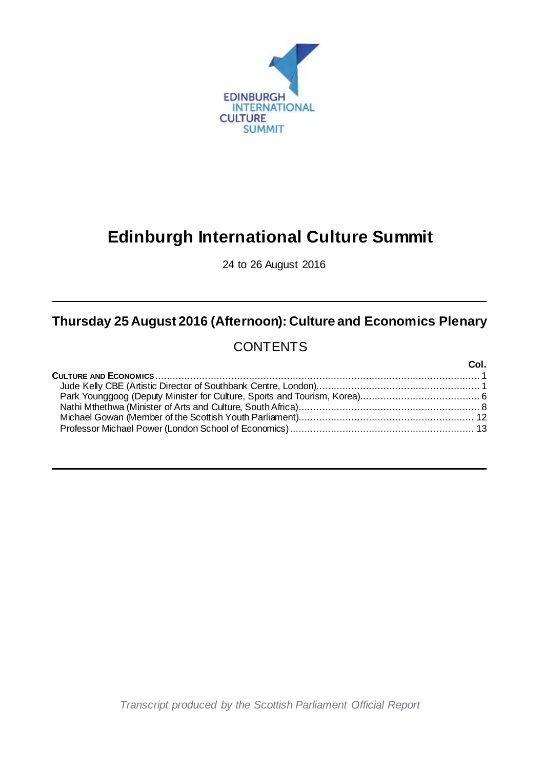

# **Edinburgh International Culture Summit**

24 to 26 August 2016

## **Thursday 25 August 2016 (Afternoon): Culture and Economics Plenary**

### **CONTENTS**

| Col. |
|------|
|      |
|      |
|      |
|      |
|      |
|      |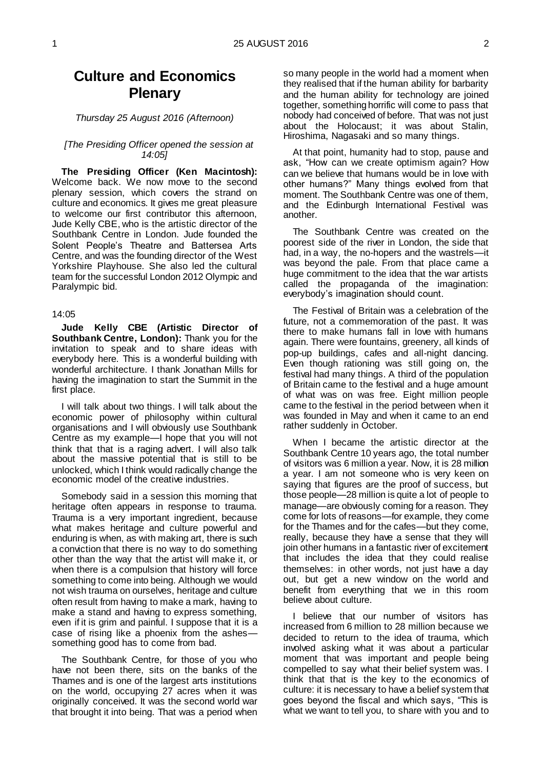### **Culture and Economics Plenary**

*Thursday 25 August 2016 (Afternoon)*

#### *[The Presiding Officer opened the session at 14:05]*

**The Presiding Officer (Ken Macintosh):**  Welcome back. We now move to the second plenary session, which covers the strand on culture and economics. It gives me great pleasure to welcome our first contributor this afternoon, Jude Kelly CBE, who is the artistic director of the Southbank Centre in London. Jude founded the Solent People's Theatre and Battersea Arts Centre, and was the founding director of the West Yorkshire Playhouse. She also led the cultural team for the successful London 2012 Olympic and Paralympic bid.

#### 14:05

<span id="page-2-0"></span>**Jude Kelly CBE (Artistic Director of Southbank Centre, London):** Thank you for the invitation to speak and to share ideas with everybody here. This is a wonderful building with wonderful architecture. I thank Jonathan Mills for having the imagination to start the Summit in the first place.

I will talk about two things. I will talk about the economic power of philosophy within cultural organisations and I will obviously use Southbank Centre as my example—I hope that you will not think that that is a raging advert. I will also talk about the massive potential that is still to be unlocked, which I think would radically change the economic model of the creative industries.

Somebody said in a session this morning that heritage often appears in response to trauma. Trauma is a very important ingredient, because what makes heritage and culture powerful and enduring is when, as with making art, there is such a conviction that there is no way to do something other than the way that the artist will make it, or when there is a compulsion that history will force something to come into being. Although we would not wish trauma on ourselves, heritage and culture often result from having to make a mark, having to make a stand and having to express something, even if it is grim and painful. I suppose that it is a case of rising like a phoenix from the ashes something good has to come from bad.

The Southbank Centre, for those of you who have not been there, sits on the banks of the Thames and is one of the largest arts institutions on the world, occupying 27 acres when it was originally conceived. It was the second world war that brought it into being. That was a period when

so many people in the world had a moment when they realised that if the human ability for barbarity and the human ability for technology are joined together, something horrific will come to pass that nobody had conceived of before. That was not just about the Holocaust; it was about Stalin, Hiroshima, Nagasaki and so many things.

At that point, humanity had to stop, pause and ask, "How can we create optimism again? How can we believe that humans would be in love with other humans?" Many things evolved from that moment. The Southbank Centre was one of them, and the Edinburgh International Festival was another.

The Southbank Centre was created on the poorest side of the river in London, the side that had, in a way, the no-hopers and the wastrels—it was beyond the pale. From that place came a huge commitment to the idea that the war artists called the propaganda of the imagination: everybody's imagination should count.

The Festival of Britain was a celebration of the future, not a commemoration of the past. It was there to make humans fall in love with humans again. There were fountains, greenery, all kinds of pop-up buildings, cafes and all-night dancing. Even though rationing was still going on, the festival had many things. A third of the population of Britain came to the festival and a huge amount of what was on was free. Eight million people came to the festival in the period between when it was founded in May and when it came to an end rather suddenly in October.

When I became the artistic director at the Southbank Centre 10 years ago, the total number of visitors was 6 million a year. Now, it is 28 million a year. I am not someone who is very keen on saying that figures are the proof of success, but those people—28 million is quite a lot of people to manage—are obviously coming for a reason. They come for lots of reasons—for example, they come for the Thames and for the cafes—but they come, really, because they have a sense that they will join other humans in a fantastic river of excitement that includes the idea that they could realise themselves: in other words, not just have a day out, but get a new window on the world and benefit from everything that we in this room believe about culture.

I believe that our number of visitors has increased from 6 million to 28 million because we decided to return to the idea of trauma, which involved asking what it was about a particular moment that was important and people being compelled to say what their belief system was. I think that that is the key to the economics of culture: it is necessary to have a belief system that goes beyond the fiscal and which says, "This is what we want to tell you, to share with you and to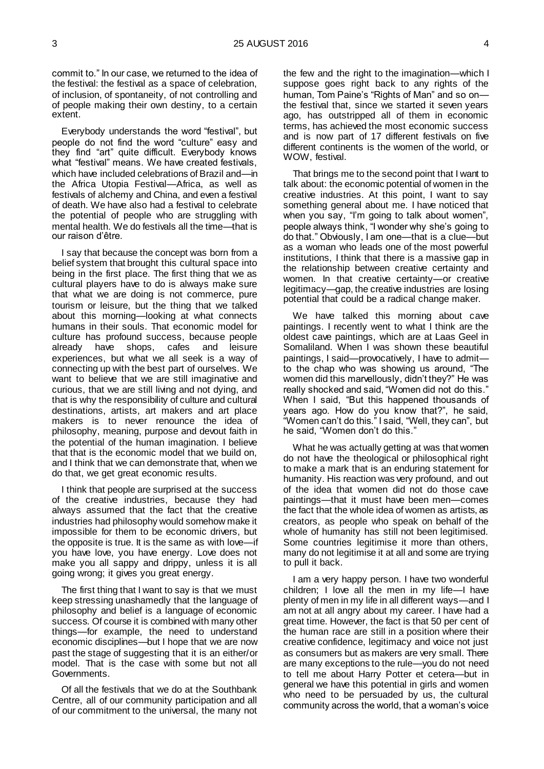commit to." In our case, we returned to the idea of the festival: the festival as a space of celebration, of inclusion, of spontaneity, of not controlling and of people making their own destiny, to a certain extent.

Everybody understands the word "festival", but people do not find the word "culture" easy and they find "art" quite difficult. Everybody knows what "festival" means. We have created festivals, which have included celebrations of Brazil and—in the Africa Utopia Festival—Africa, as well as festivals of alchemy and China, and even a festival of death. We have also had a festival to celebrate the potential of people who are struggling with mental health. We do festivals all the time—that is our raison d'être.

I say that because the concept was born from a belief system that brought this cultural space into being in the first place. The first thing that we as cultural players have to do is always make sure that what we are doing is not commerce, pure tourism or leisure, but the thing that we talked about this morning—looking at what connects humans in their souls. That economic model for culture has profound success, because people already have shops, cafes and leisure experiences, but what we all seek is a way of connecting up with the best part of ourselves. We want to believe that we are still imaginative and curious, that we are still living and not dying, and that is why the responsibility of culture and cultural destinations, artists, art makers and art place makers is to never renounce the idea of philosophy, meaning, purpose and devout faith in the potential of the human imagination. I believe that that is the economic model that we build on, and I think that we can demonstrate that, when we do that, we get great economic results.

I think that people are surprised at the success of the creative industries, because they had always assumed that the fact that the creative industries had philosophy would somehow make it impossible for them to be economic drivers, but the opposite is true. It is the same as with love—if you have love, you have energy. Love does not make you all sappy and drippy, unless it is all going wrong; it gives you great energy.

The first thing that I want to say is that we must keep stressing unashamedly that the language of philosophy and belief is a language of economic success. Of course it is combined with many other things—for example, the need to understand economic disciplines—but I hope that we are now past the stage of suggesting that it is an either/or model. That is the case with some but not all Governments.

Of all the festivals that we do at the Southbank Centre, all of our community participation and all of our commitment to the universal, the many not the few and the right to the imagination—which I suppose goes right back to any rights of the human, Tom Paine's "Rights of Man" and so on the festival that, since we started it seven years ago, has outstripped all of them in economic terms, has achieved the most economic success and is now part of 17 different festivals on five different continents is the women of the world, or WOW, festival.

That brings me to the second point that I want to talk about: the economic potential of women in the creative industries. At this point, I want to say something general about me. I have noticed that when you say, "I'm going to talk about women", people always think, "I wonder why she's going to do that." Obviously, I am one—that is a clue—but as a woman who leads one of the most powerful institutions, I think that there is a massive gap in the relationship between creative certainty and women. In that creative certainty—or creative legitimacy—gap, the creative industries are losing potential that could be a radical change maker.

We have talked this morning about cave paintings. I recently went to what I think are the oldest cave paintings, which are at Laas Geel in Somaliland. When I was shown these beautiful paintings, I said—provocatively, I have to admit to the chap who was showing us around, "The women did this marvellously, didn't they?" He was really shocked and said, "Women did not do this." When I said, "But this happened thousands of years ago. How do you know that?", he said, "Women can't do this." I said, "Well, they can", but he said, "Women don't do this."

What he was actually getting at was that women do not have the theological or philosophical right to make a mark that is an enduring statement for humanity. His reaction was very profound, and out of the idea that women did not do those cave paintings—that it must have been men—comes the fact that the whole idea of women as artists, as creators, as people who speak on behalf of the whole of humanity has still not been legitimised. Some countries legitimise it more than others, many do not legitimise it at all and some are trying to pull it back.

I am a very happy person. I have two wonderful children; I love all the men in my life—I have plenty of men in my life in all different ways—and I am not at all angry about my career. I have had a great time. However, the fact is that 50 per cent of the human race are still in a position where their creative confidence, legitimacy and voice not just as consumers but as makers are very small. There are many exceptions to the rule—you do not need to tell me about Harry Potter et cetera—but in general we have this potential in girls and women who need to be persuaded by us, the cultural community across the world, that a woman's voice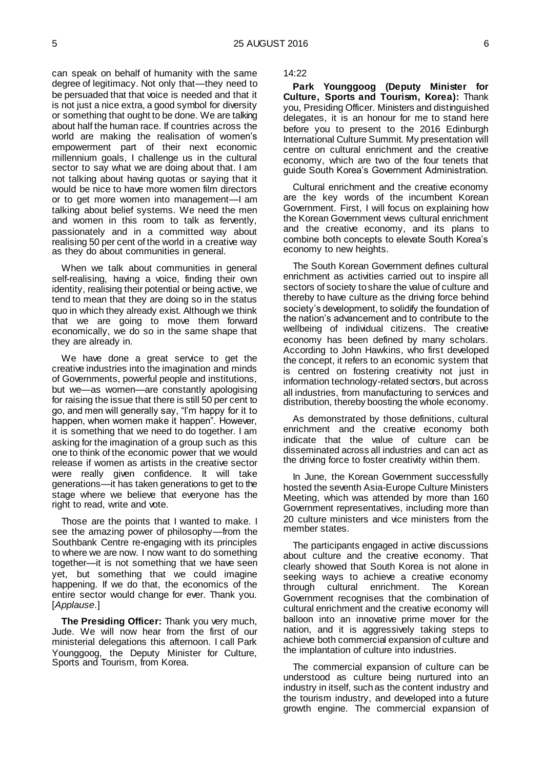can speak on behalf of humanity with the same degree of legitimacy. Not only that—they need to be persuaded that that voice is needed and that it is not just a nice extra, a good symbol for diversity or something that ought to be done. We are talking about half the human race. If countries across the world are making the realisation of women's empowerment part of their next economic millennium goals, I challenge us in the cultural sector to say what we are doing about that. I am not talking about having quotas or saying that it would be nice to have more women film directors or to get more women into management—I am talking about belief systems. We need the men and women in this room to talk as fervently, passionately and in a committed way about realising 50 per cent of the world in a creative way as they do about communities in general.

When we talk about communities in general self-realising, having a voice, finding their own identity, realising their potential or being active, we tend to mean that they are doing so in the status quo in which they already exist. Although we think that we are going to move them forward economically, we do so in the same shape that they are already in.

We have done a great service to get the creative industries into the imagination and minds of Governments, powerful people and institutions, but we—as women—are constantly apologising for raising the issue that there is still 50 per cent to go, and men will generally say, "I'm happy for it to happen, when women make it happen". However, it is something that we need to do together. I am asking for the imagination of a group such as this one to think of the economic power that we would release if women as artists in the creative sector were really given confidence. It will take generations—it has taken generations to get to the stage where we believe that everyone has the right to read, write and vote.

Those are the points that I wanted to make. I see the amazing power of philosophy—from the Southbank Centre re-engaging with its principles to where we are now. I now want to do something together—it is not something that we have seen yet, but something that we could imagine happening. If we do that, the economics of the entire sector would change for ever. Thank you. [*Applause*.]

**The Presiding Officer:** Thank you very much, Jude. We will now hear from the first of our ministerial delegations this afternoon. I call Park Younggoog, the Deputy Minister for Culture, Sports and Tourism, from Korea.

14:22

<span id="page-4-0"></span>**Park Younggoog (Deputy Minister for Culture, Sports and Tourism, Korea):** Thank you, Presiding Officer. Ministers and distinguished delegates, it is an honour for me to stand here before you to present to the 2016 Edinburgh International Culture Summit. My presentation will centre on cultural enrichment and the creative economy, which are two of the four tenets that guide South Korea's Government Administration.

Cultural enrichment and the creative economy are the key words of the incumbent Korean Government. First, I will focus on explaining how the Korean Government views cultural enrichment and the creative economy, and its plans to combine both concepts to elevate South Korea's economy to new heights.

The South Korean Government defines cultural enrichment as activities carried out to inspire all sectors of society to share the value of culture and thereby to have culture as the driving force behind society's development, to solidify the foundation of the nation's advancement and to contribute to the wellbeing of individual citizens. The creative economy has been defined by many scholars. According to John Hawkins, who first developed the concept, it refers to an economic system that is centred on fostering creativity not just in information technology-related sectors, but across all industries, from manufacturing to services and distribution, thereby boosting the whole economy.

As demonstrated by those definitions, cultural enrichment and the creative economy both indicate that the value of culture can be disseminated across all industries and can act as the driving force to foster creativity within them.

In June, the Korean Government successfully hosted the seventh Asia-Europe Culture Ministers Meeting, which was attended by more than 160 Government representatives, including more than 20 culture ministers and vice ministers from the member states.

The participants engaged in active discussions about culture and the creative economy. That clearly showed that South Korea is not alone in seeking ways to achieve a creative economy through cultural enrichment. The Korean Government recognises that the combination of cultural enrichment and the creative economy will balloon into an innovative prime mover for the nation, and it is aggressively taking steps to achieve both commercial expansion of culture and the implantation of culture into industries.

The commercial expansion of culture can be understood as culture being nurtured into an industry in itself, such as the content industry and the tourism industry, and developed into a future growth engine. The commercial expansion of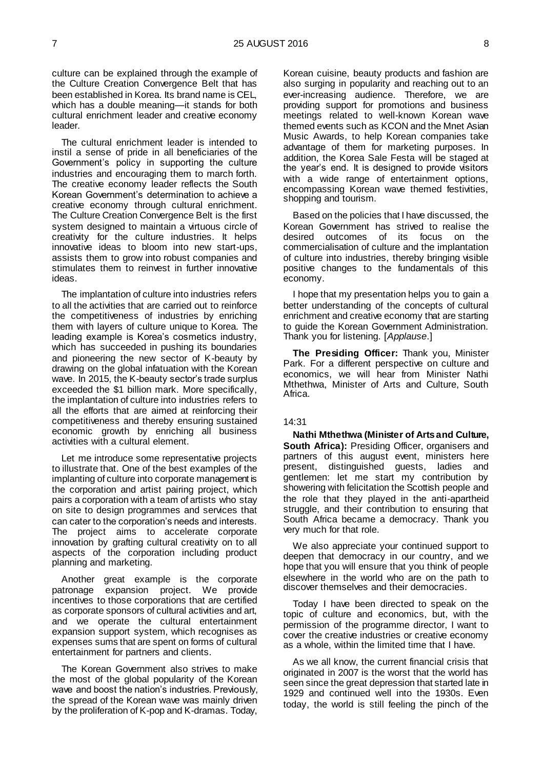culture can be explained through the example of the Culture Creation Convergence Belt that has been established in Korea. Its brand name is CEL, which has a double meaning—it stands for both cultural enrichment leader and creative economy leader.

The cultural enrichment leader is intended to instil a sense of pride in all beneficiaries of the Government's policy in supporting the culture industries and encouraging them to march forth. The creative economy leader reflects the South Korean Government's determination to achieve a creative economy through cultural enrichment. The Culture Creation Convergence Belt is the first system designed to maintain a virtuous circle of creativity for the culture industries. It helps innovative ideas to bloom into new start-ups, assists them to grow into robust companies and stimulates them to reinvest in further innovative ideas.

The implantation of culture into industries refers to all the activities that are carried out to reinforce the competitiveness of industries by enriching them with layers of culture unique to Korea. The leading example is Korea's cosmetics industry, which has succeeded in pushing its boundaries and pioneering the new sector of K-beauty by drawing on the global infatuation with the Korean wave. In 2015, the K-beauty sector's trade surplus exceeded the \$1 billion mark. More specifically, the implantation of culture into industries refers to all the efforts that are aimed at reinforcing their competitiveness and thereby ensuring sustained economic growth by enriching all business activities with a cultural element.

Let me introduce some representative projects to illustrate that. One of the best examples of the implanting of culture into corporate management is the corporation and artist pairing project, which pairs a corporation with a team of artists who stay on site to design programmes and services that can cater to the corporation's needs and interests. The project aims to accelerate corporate innovation by grafting cultural creativity on to all aspects of the corporation including product planning and marketing.

Another great example is the corporate patronage expansion project. We provide incentives to those corporations that are certified as corporate sponsors of cultural activities and art, and we operate the cultural entertainment expansion support system, which recognises as expenses sums that are spent on forms of cultural entertainment for partners and clients.

The Korean Government also strives to make the most of the global popularity of the Korean wave and boost the nation's industries. Previously, the spread of the Korean wave was mainly driven by the proliferation of K-pop and K-dramas. Today,

Korean cuisine, beauty products and fashion are also surging in popularity and reaching out to an ever-increasing audience. Therefore, we are providing support for promotions and business meetings related to well-known Korean wave themed events such as KCON and the Mnet Asian Music Awards, to help Korean companies take advantage of them for marketing purposes. In addition, the Korea Sale Festa will be staged at the year's end. It is designed to provide visitors with a wide range of entertainment options, encompassing Korean wave themed festivities, shopping and tourism.

Based on the policies that I have discussed, the Korean Government has strived to realise the desired outcomes of its focus on the desired outcomes of its focus commercialisation of culture and the implantation of culture into industries, thereby bringing visible positive changes to the fundamentals of this economy.

I hope that my presentation helps you to gain a better understanding of the concepts of cultural enrichment and creative economy that are starting to guide the Korean Government Administration. Thank you for listening. [*Applause*.]

**The Presiding Officer:** Thank you, Minister Park. For a different perspective on culture and economics, we will hear from Minister Nathi Mthethwa, Minister of Arts and Culture, South Africa.

#### 14:31

<span id="page-5-0"></span>**Nathi Mthethwa (Minister of Arts and Culture, South Africa): Presiding Officer, organisers and** partners of this august event, ministers here present, distinguished guests, ladies and gentlemen: let me start my contribution by showering with felicitation the Scottish people and the role that they played in the anti-apartheid struggle, and their contribution to ensuring that South Africa became a democracy. Thank you very much for that role.

We also appreciate your continued support to deepen that democracy in our country, and we hope that you will ensure that you think of people elsewhere in the world who are on the path to discover themselves and their democracies.

Today I have been directed to speak on the topic of culture and economics, but, with the permission of the programme director, I want to cover the creative industries or creative economy as a whole, within the limited time that I have.

As we all know, the current financial crisis that originated in 2007 is the worst that the world has seen since the great depression that started late in 1929 and continued well into the 1930s. Even today, the world is still feeling the pinch of the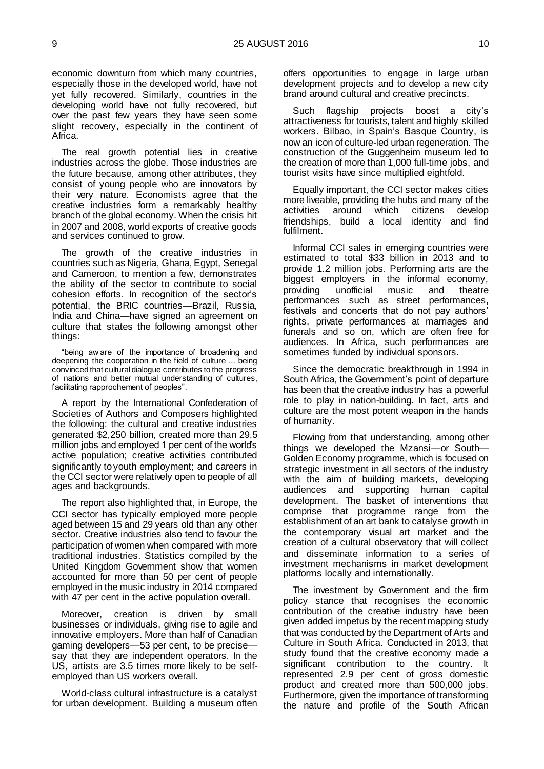economic downturn from which many countries, especially those in the developed world, have not yet fully recovered. Similarly, countries in the developing world have not fully recovered, but over the past few years they have seen some slight recovery, especially in the continent of Africa.

The real growth potential lies in creative industries across the globe. Those industries are the future because, among other attributes, they consist of young people who are innovators by their very nature. Economists agree that the creative industries form a remarkably healthy branch of the global economy. When the crisis hit in 2007 and 2008, world exports of creative goods and services continued to grow.

The growth of the creative industries in countries such as Nigeria, Ghana, Egypt, Senegal and Cameroon, to mention a few, demonstrates the ability of the sector to contribute to social cohesion efforts. In recognition of the sector's potential, the BRIC countries—Brazil, Russia, India and China—have signed an agreement on culture that states the following amongst other things:

"being aw are of the importance of broadening and deepening the cooperation in the field of culture ... being convinced that cultural dialogue contributes to the progress of nations and better mutual understanding of cultures, facilitating rapprochement of peoples".

A report by the International Confederation of Societies of Authors and Composers highlighted the following: the cultural and creative industries generated \$2,250 billion, created more than 29.5 million jobs and employed 1 per cent of the world's active population; creative activities contributed significantly to youth employment; and careers in the CCI sector were relatively open to people of all ages and backgrounds.

The report also highlighted that, in Europe, the CCI sector has typically employed more people aged between 15 and 29 years old than any other sector. Creative industries also tend to favour the participation of women when compared with more traditional industries. Statistics compiled by the United Kingdom Government show that women accounted for more than 50 per cent of people employed in the music industry in 2014 compared with 47 per cent in the active population overall.

Moreover, creation is driven by small businesses or individuals, giving rise to agile and innovative employers. More than half of Canadian gaming developers—53 per cent, to be precise say that they are independent operators. In the US, artists are 3.5 times more likely to be selfemployed than US workers overall.

World-class cultural infrastructure is a catalyst for urban development. Building a museum often offers opportunities to engage in large urban development projects and to develop a new city brand around cultural and creative precincts.

Such flagship projects boost a city's attractiveness for tourists, talent and highly skilled workers. Bilbao, in Spain's Basque Country, is now an icon of culture-led urban regeneration. The construction of the Guggenheim museum led to the creation of more than 1,000 full-time jobs, and tourist visits have since multiplied eightfold.

Equally important, the CCI sector makes cities more liveable, providing the hubs and many of the activities around which citizens develop friendships, build a local identity and find fulfilment.

Informal CCI sales in emerging countries were estimated to total \$33 billion in 2013 and to provide 1.2 million jobs. Performing arts are the biggest employers in the informal economy, providing unofficial music and theatre performances such as street performances, festivals and concerts that do not pay authors' rights, private performances at marriages and funerals and so on, which are often free for audiences. In Africa, such performances are sometimes funded by individual sponsors.

Since the democratic breakthrough in 1994 in South Africa, the Government's point of departure has been that the creative industry has a powerful role to play in nation-building. In fact, arts and culture are the most potent weapon in the hands of humanity.

Flowing from that understanding, among other things we developed the Mzansi—or South— Golden Economy programme, which is focused on strategic investment in all sectors of the industry with the aim of building markets, developing audiences and supporting human capital development. The basket of interventions that comprise that programme range from the establishment of an art bank to catalyse growth in the contemporary visual art market and the creation of a cultural observatory that will collect and disseminate information to a series of investment mechanisms in market development platforms locally and internationally.

The investment by Government and the firm policy stance that recognises the economic contribution of the creative industry have been given added impetus by the recent mapping study that was conducted by the Department of Arts and Culture in South Africa. Conducted in 2013, that study found that the creative economy made a significant contribution to the country. It represented 2.9 per cent of gross domestic product and created more than 500,000 jobs. Furthermore, given the importance of transforming the nature and profile of the South African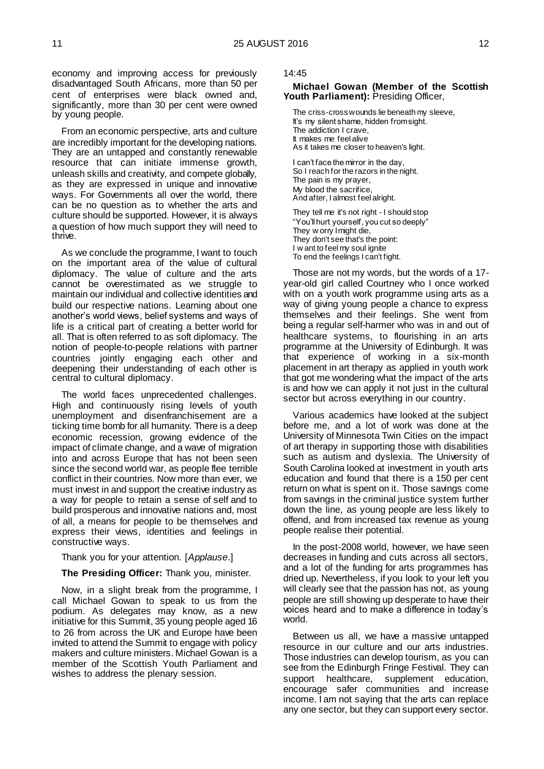economy and improving access for previously disadvantaged South Africans, more than 50 per cent of enterprises were black owned and, significantly, more than 30 per cent were owned by young people.

From an economic perspective, arts and culture are incredibly important for the developing nations. They are an untapped and constantly renewable resource that can initiate immense growth, unleash skills and creativity, and compete globally, as they are expressed in unique and innovative ways. For Governments all over the world, there can be no question as to whether the arts and culture should be supported. However, it is always a question of how much support they will need to thrive.

As we conclude the programme, I want to touch on the important area of the value of cultural diplomacy. The value of culture and the arts cannot be overestimated as we struggle to maintain our individual and collective identities and build our respective nations. Learning about one another's world views, belief systems and ways of life is a critical part of creating a better world for all. That is often referred to as soft diplomacy. The notion of people-to-people relations with partner countries jointly engaging each other and deepening their understanding of each other is central to cultural diplomacy.

The world faces unprecedented challenges. High and continuously rising levels of youth unemployment and disenfranchisement are a ticking time bomb for all humanity. There is a deep economic recession, growing evidence of the impact of climate change, and a wave of migration into and across Europe that has not been seen since the second world war, as people flee terrible conflict in their countries. Now more than ever, we must invest in and support the creative industry as a way for people to retain a sense of self and to build prosperous and innovative nations and, most of all, a means for people to be themselves and express their views, identities and feelings in constructive ways.

Thank you for your attention. [*Applause*.]

#### **The Presiding Officer:** Thank you, minister.

Now, in a slight break from the programme, I call Michael Gowan to speak to us from the podium. As delegates may know, as a new initiative for this Summit, 35 young people aged 16 to 26 from across the UK and Europe have been invited to attend the Summit to engage with policy makers and culture ministers. Michael Gowan is a member of the Scottish Youth Parliament and wishes to address the plenary session.

#### 14:45

#### <span id="page-7-0"></span>**Michael Gowan (Member of the Scottish Youth Parliament):** Presiding Officer,

The criss-cross wounds lie beneath my sleeve, It's my silent shame, hidden from sight. The addiction I crave, It makes me feel alive As it takes me closer to heaven's light.

I can't face the mirror in the day, So I reach for the razors in the night. The pain is my prayer, My blood the sacrifice, And after, I almost feel alright.

They tell me it's not right - I should stop "You'll hurt yourself, you cut so deeply" They w orry I might die, They don't see that's the point: I w ant to feel my soul ignite To end the feelings I can't fight.

Those are not my words, but the words of a 17 year-old girl called Courtney who I once worked with on a youth work programme using arts as a way of giving young people a chance to express themselves and their feelings. She went from being a regular self-harmer who was in and out of healthcare systems, to flourishing in an arts programme at the University of Edinburgh. It was that experience of working in a six-month placement in art therapy as applied in youth work that got me wondering what the impact of the arts is and how we can apply it not just in the cultural sector but across everything in our country.

Various academics have looked at the subject before me, and a lot of work was done at the University of Minnesota Twin Cities on the impact of art therapy in supporting those with disabilities such as autism and dyslexia. The University of South Carolina looked at investment in youth arts education and found that there is a 150 per cent return on what is spent on it. Those savings come from savings in the criminal justice system further down the line, as young people are less likely to offend, and from increased tax revenue as young people realise their potential.

In the post-2008 world, however, we have seen decreases in funding and cuts across all sectors, and a lot of the funding for arts programmes has dried up. Nevertheless, if you look to your left you will clearly see that the passion has not, as young people are still showing up desperate to have their voices heard and to make a difference in today's world.

Between us all, we have a massive untapped resource in our culture and our arts industries. Those industries can develop tourism, as you can see from the Edinburgh Fringe Festival. They can support healthcare, supplement education, encourage safer communities and increase income. I am not saying that the arts can replace any one sector, but they can support every sector.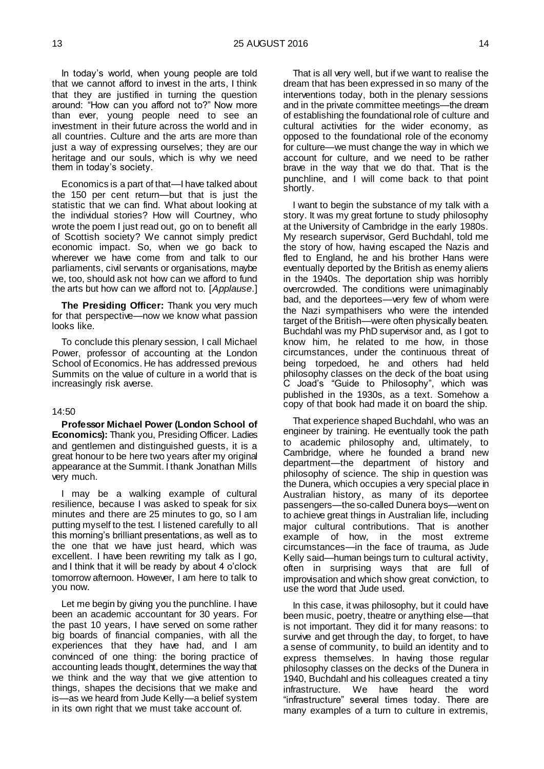In today's world, when young people are told that we cannot afford to invest in the arts, I think that they are justified in turning the question around: "How can you afford not to?" Now more than ever, young people need to see an investment in their future across the world and in all countries. Culture and the arts are more than just a way of expressing ourselves; they are our heritage and our souls, which is why we need them in today's society.

Economics is a part of that—I have talked about the 150 per cent return—but that is just the statistic that we can find. What about looking at the individual stories? How will Courtney, who wrote the poem I just read out, go on to benefit all of Scottish society? We cannot simply predict economic impact. So, when we go back to wherever we have come from and talk to our parliaments, civil servants or organisations, maybe we, too, should ask not how can we afford to fund the arts but how can we afford not to. [*Applause*.]

**The Presiding Officer:** Thank you very much for that perspective—now we know what passion looks like.

To conclude this plenary session, I call Michael Power, professor of accounting at the London School of Economics. He has addressed previous Summits on the value of culture in a world that is increasingly risk averse.

#### 14:50

<span id="page-8-0"></span>**Professor Michael Power (London School of Economics):** Thank you, Presiding Officer. Ladies and gentlemen and distinguished guests, it is a great honour to be here two years after my original appearance at the Summit. I thank Jonathan Mills very much.

I may be a walking example of cultural resilience, because I was asked to speak for six minutes and there are 25 minutes to go, so I am putting myself to the test. I listened carefully to all this morning's brilliant presentations, as well as to the one that we have just heard, which was excellent. I have been rewriting my talk as I go. and I think that it will be ready by about 4 o'clock tomorrow afternoon. However, I am here to talk to you now.

Let me begin by giving you the punchline. I have been an academic accountant for 30 years. For the past 10 years, I have served on some rather big boards of financial companies, with all the experiences that they have had, and I am convinced of one thing: the boring practice of accounting leads thought, determines the way that we think and the way that we give attention to things, shapes the decisions that we make and is—as we heard from Jude Kelly—a belief system in its own right that we must take account of.

That is all very well, but if we want to realise the dream that has been expressed in so many of the interventions today, both in the plenary sessions and in the private committee meetings—the dream of establishing the foundational role of culture and cultural activities for the wider economy, as opposed to the foundational role of the economy for culture—we must change the way in which we account for culture, and we need to be rather brave in the way that we do that. That is the punchline, and I will come back to that point shortly.

I want to begin the substance of my talk with a story. It was my great fortune to study philosophy at the University of Cambridge in the early 1980s. My research supervisor, Gerd Buchdahl, told me the story of how, having escaped the Nazis and fled to England, he and his brother Hans were eventually deported by the British as enemy aliens in the 1940s. The deportation ship was horribly overcrowded. The conditions were unimaginably bad, and the deportees—very few of whom were the Nazi sympathisers who were the intended target of the British—were often physically beaten. Buchdahl was my PhD supervisor and, as I got to know him, he related to me how, in those circumstances, under the continuous threat of being torpedoed, he and others had held philosophy classes on the deck of the boat using C Joad's "Guide to Philosophy", which was published in the 1930s, as a text. Somehow a copy of that book had made it on board the ship.

That experience shaped Buchdahl, who was an engineer by training. He eventually took the path to academic philosophy and, ultimately, to Cambridge, where he founded a brand new department—the department of history and philosophy of science. The ship in question was the Dunera, which occupies a very special place in Australian history, as many of its deportee passengers—the so-called Dunera boys—went on to achieve great things in Australian life, including major cultural contributions. That is another example of how, in the most extreme circumstances—in the face of trauma, as Jude Kelly said—human beings turn to cultural activity, often in surprising ways that are full of improvisation and which show great conviction, to use the word that Jude used.

In this case, it was philosophy, but it could have been music, poetry, theatre or anything else—that is not important. They did it for many reasons: to survive and get through the day, to forget, to have a sense of community, to build an identity and to express themselves. In having those regular philosophy classes on the decks of the Dunera in 1940, Buchdahl and his colleagues created a tiny infrastructure. We have heard the word "infrastructure" several times today. There are many examples of a turn to culture in extremis,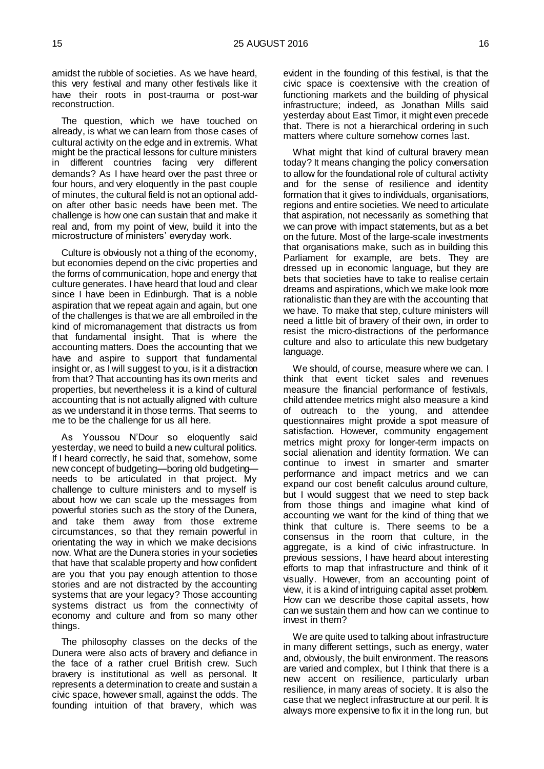amidst the rubble of societies. As we have heard, this very festival and many other festivals like it have their roots in post-trauma or post-war reconstruction.

The question, which we have touched on already, is what we can learn from those cases of cultural activity on the edge and in extremis. What might be the practical lessons for culture ministers in different countries facing very different demands? As I have heard over the past three or four hours, and very eloquently in the past couple of minutes, the cultural field is not an optional addon after other basic needs have been met. The challenge is how one can sustain that and make it real and, from my point of view, build it into the microstructure of ministers' everyday work.

Culture is obviously not a thing of the economy, but economies depend on the civic properties and the forms of communication, hope and energy that culture generates. I have heard that loud and clear since I have been in Edinburgh. That is a noble aspiration that we repeat again and again, but one of the challenges is that we are all embroiled in the kind of micromanagement that distracts us from that fundamental insight. That is where the accounting matters. Does the accounting that we have and aspire to support that fundamental insight or, as I will suggest to you, is it a distraction from that? That accounting has its own merits and properties, but nevertheless it is a kind of cultural accounting that is not actually aligned with culture as we understand it in those terms. That seems to me to be the challenge for us all here.

As Youssou N'Dour so eloquently said yesterday, we need to build a new cultural politics. If I heard correctly, he said that, somehow, some new concept of budgeting—boring old budgeting needs to be articulated in that project. My challenge to culture ministers and to myself is about how we can scale up the messages from powerful stories such as the story of the Dunera, and take them away from those extreme circumstances, so that they remain powerful in orientating the way in which we make decisions now. What are the Dunera stories in your societies that have that scalable property and how confident are you that you pay enough attention to those stories and are not distracted by the accounting systems that are your legacy? Those accounting systems distract us from the connectivity of economy and culture and from so many other things.

The philosophy classes on the decks of the Dunera were also acts of bravery and defiance in the face of a rather cruel British crew. Such bravery is institutional as well as personal. It represents a determination to create and sustain a civic space, however small, against the odds. The founding intuition of that bravery, which was

evident in the founding of this festival, is that the civic space is coextensive with the creation of functioning markets and the building of physical infrastructure; indeed, as Jonathan Mills said yesterday about East Timor, it might even precede that. There is not a hierarchical ordering in such matters where culture somehow comes last.

What might that kind of cultural bravery mean today? It means changing the policy conversation to allow for the foundational role of cultural activity and for the sense of resilience and identity formation that it gives to individuals, organisations, regions and entire societies. We need to articulate that aspiration, not necessarily as something that we can prove with impact statements, but as a bet on the future. Most of the large-scale investments that organisations make, such as in building this Parliament for example, are bets. They are dressed up in economic language, but they are bets that societies have to take to realise certain dreams and aspirations, which we make look more rationalistic than they are with the accounting that we have. To make that step, culture ministers will need a little bit of bravery of their own, in order to resist the micro-distractions of the performance culture and also to articulate this new budgetary language.

We should, of course, measure where we can. I think that event ticket sales and revenues measure the financial performance of festivals, child attendee metrics might also measure a kind of outreach to the young, and attendee questionnaires might provide a spot measure of satisfaction. However, community engagement metrics might proxy for longer-term impacts on social alienation and identity formation. We can continue to invest in smarter and smarter performance and impact metrics and we can expand our cost benefit calculus around culture, but I would suggest that we need to step back from those things and imagine what kind of accounting we want for the kind of thing that we think that culture is. There seems to be a consensus in the room that culture, in the aggregate, is a kind of civic infrastructure. In previous sessions, I have heard about interesting efforts to map that infrastructure and think of it visually. However, from an accounting point of view, it is a kind of intriguing capital asset problem. How can we describe those capital assets, how can we sustain them and how can we continue to invest in them?

We are quite used to talking about infrastructure in many different settings, such as energy, water and, obviously, the built environment. The reasons are varied and complex, but I think that there is a new accent on resilience, particularly urban resilience, in many areas of society. It is also the case that we neglect infrastructure at our peril. It is always more expensive to fix it in the long run, but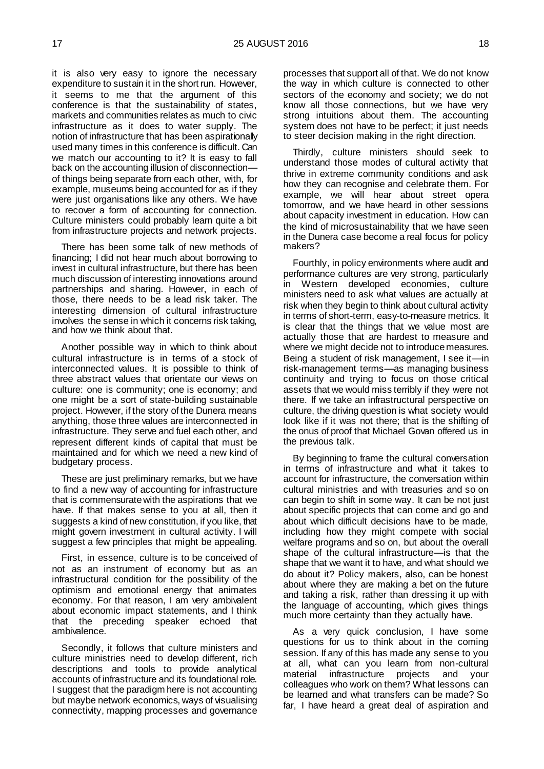it is also very easy to ignore the necessary expenditure to sustain it in the short run. However, it seems to me that the argument of this conference is that the sustainability of states, markets and communities relates as much to civic infrastructure as it does to water supply. The notion of infrastructure that has been aspirationally used many times in this conference is difficult. Can we match our accounting to it? It is easy to fall back on the accounting illusion of disconnection of things being separate from each other, with, for example, museums being accounted for as if they were just organisations like any others. We have to recover a form of accounting for connection. Culture ministers could probably learn quite a bit from infrastructure projects and network projects.

There has been some talk of new methods of financing; I did not hear much about borrowing to invest in cultural infrastructure, but there has been much discussion of interesting innovations around partnerships and sharing. However, in each of those, there needs to be a lead risk taker. The interesting dimension of cultural infrastructure involves the sense in which it concerns risk taking, and how we think about that.

Another possible way in which to think about cultural infrastructure is in terms of a stock of interconnected values. It is possible to think of three abstract values that orientate our views on culture: one is community; one is economy; and one might be a sort of state-building sustainable project. However, if the story of the Dunera means anything, those three values are interconnected in infrastructure. They serve and fuel each other, and represent different kinds of capital that must be maintained and for which we need a new kind of budgetary process.

These are just preliminary remarks, but we have to find a new way of accounting for infrastructure that is commensurate with the aspirations that we have. If that makes sense to you at all, then it suggests a kind of new constitution, if you like, that might govern investment in cultural activity. I will suggest a few principles that might be appealing.

First, in essence, culture is to be conceived of not as an instrument of economy but as an infrastructural condition for the possibility of the optimism and emotional energy that animates economy. For that reason, I am very ambivalent about economic impact statements, and I think that the preceding speaker echoed that ambivalence.

Secondly, it follows that culture ministers and culture ministries need to develop different, rich descriptions and tools to provide analytical accounts of infrastructure and its foundational role. I suggest that the paradigm here is not accounting but maybe network economics, ways of visualising connectivity, mapping processes and governance

processes that support all of that. We do not know the way in which culture is connected to other sectors of the economy and society; we do not know all those connections, but we have very strong intuitions about them. The accounting system does not have to be perfect; it just needs to steer decision making in the right direction.

Thirdly, culture ministers should seek to understand those modes of cultural activity that thrive in extreme community conditions and ask how they can recognise and celebrate them. For example, we will hear about street opera tomorrow, and we have heard in other sessions about capacity investment in education. How can the kind of microsustainability that we have seen in the Dunera case become a real focus for policy makers?

Fourthly, in policy environments where audit and performance cultures are very strong, particularly in Western developed economies, culture ministers need to ask what values are actually at risk when they begin to think about cultural activity in terms of short-term, easy-to-measure metrics. It is clear that the things that we value most are actually those that are hardest to measure and where we might decide not to introduce measures. Being a student of risk management, I see it—in risk-management terms—as managing business continuity and trying to focus on those critical assets that we would miss terribly if they were not there. If we take an infrastructural perspective on culture, the driving question is what society would look like if it was not there; that is the shifting of the onus of proof that Michael Govan offered us in the previous talk.

By beginning to frame the cultural conversation in terms of infrastructure and what it takes to account for infrastructure, the conversation within cultural ministries and with treasuries and so on can begin to shift in some way. It can be not just about specific projects that can come and go and about which difficult decisions have to be made, including how they might compete with social welfare programs and so on, but about the overall shape of the cultural infrastructure—is that the shape that we want it to have, and what should we do about it? Policy makers, also, can be honest about where they are making a bet on the future and taking a risk, rather than dressing it up with the language of accounting, which gives things much more certainty than they actually have.

As a very quick conclusion, I have some questions for us to think about in the coming session. If any of this has made any sense to you at all, what can you learn from non-cultural material infrastructure projects and your colleagues who work on them? What lessons can be learned and what transfers can be made? So far, I have heard a great deal of aspiration and